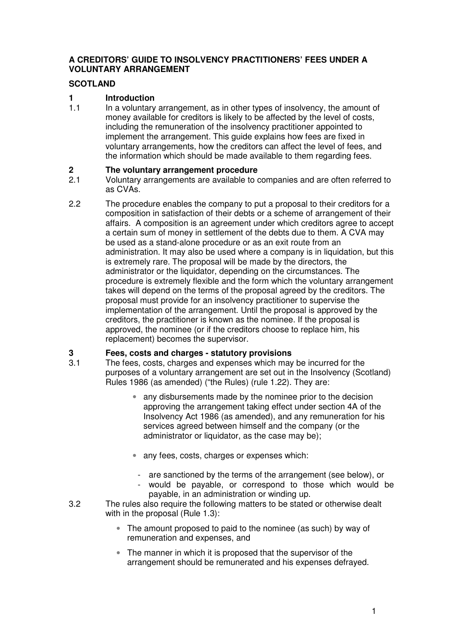#### **A CREDITORS' GUIDE TO INSOLVENCY PRACTITIONERS' FEES UNDER A VOLUNTARY ARRANGEMENT**

### **SCOTLAND**

## **1 Introduction**

1.1 In a voluntary arrangement, as in other types of insolvency, the amount of money available for creditors is likely to be affected by the level of costs, including the remuneration of the insolvency practitioner appointed to implement the arrangement. This guide explains how fees are fixed in voluntary arrangements, how the creditors can affect the level of fees, and the information which should be made available to them regarding fees.

## **2 The voluntary arrangement procedure**<br>**2.1** Voluntary arrangements are available to c

- 2.1 Voluntary arrangements are available to companies and are often referred to as CVAs.
- 2.2 The procedure enables the company to put a proposal to their creditors for a composition in satisfaction of their debts or a scheme of arrangement of their affairs. A composition is an agreement under which creditors agree to accept a certain sum of money in settlement of the debts due to them. A CVA may be used as a stand-alone procedure or as an exit route from an administration. It may also be used where a company is in liquidation, but this is extremely rare. The proposal will be made by the directors, the administrator or the liquidator, depending on the circumstances. The procedure is extremely flexible and the form which the voluntary arrangement takes will depend on the terms of the proposal agreed by the creditors. The proposal must provide for an insolvency practitioner to supervise the implementation of the arrangement. Until the proposal is approved by the creditors, the practitioner is known as the nominee. If the proposal is approved, the nominee (or if the creditors choose to replace him, his replacement) becomes the supervisor.

### **3 Fees, costs and charges - statutory provisions**

- 3.1 The fees, costs, charges and expenses which may be incurred for the purposes of a voluntary arrangement are set out in the Insolvency (Scotland) Rules 1986 (as amended) ("the Rules) (rule 1.22). They are:
	- any disbursements made by the nominee prior to the decision approving the arrangement taking effect under section 4A of the Insolvency Act 1986 (as amended), and any remuneration for his services agreed between himself and the company (or the administrator or liquidator, as the case may be);
	- any fees, costs, charges or expenses which:
		- are sanctioned by the terms of the arrangement (see below), or
		- would be payable, or correspond to those which would be payable, in an administration or winding up.
- 3.2 The rules also require the following matters to be stated or otherwise dealt with in the proposal (Rule 1.3):
	- The amount proposed to paid to the nominee (as such) by way of remuneration and expenses, and
	- The manner in which it is proposed that the supervisor of the arrangement should be remunerated and his expenses defrayed.